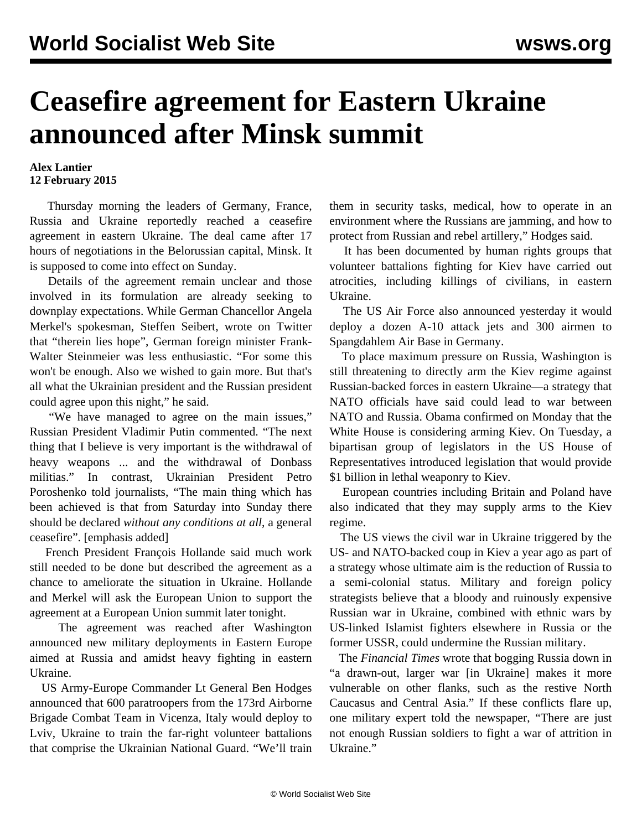## **Ceasefire agreement for Eastern Ukraine announced after Minsk summit**

## **Alex Lantier 12 February 2015**

 Thursday morning the leaders of Germany, France, Russia and Ukraine reportedly reached a ceasefire agreement in eastern Ukraine. The deal came after 17 hours of negotiations in the Belorussian capital, Minsk. It is supposed to come into effect on Sunday.

 Details of the agreement remain unclear and those involved in its formulation are already seeking to downplay expectations. While German Chancellor Angela Merkel's spokesman, Steffen Seibert, wrote on Twitter that "therein lies hope", German foreign minister Frank-Walter Steinmeier was less enthusiastic. "For some this won't be enough. Also we wished to gain more. But that's all what the Ukrainian president and the Russian president could agree upon this night," he said.

 "We have managed to agree on the main issues," Russian President Vladimir Putin commented. "The next thing that I believe is very important is the withdrawal of heavy weapons ... and the withdrawal of Donbass militias." In contrast, Ukrainian President Petro Poroshenko told journalists, "The main thing which has been achieved is that from Saturday into Sunday there should be declared *without any conditions at all*, a general ceasefire". [emphasis added]

 French President François Hollande said much work still needed to be done but described the agreement as a chance to ameliorate the situation in Ukraine. Hollande and Merkel will ask the European Union to support the agreement at a European Union summit later tonight.

 The agreement was reached after Washington announced new military deployments in Eastern Europe aimed at Russia and amidst heavy fighting in eastern Ukraine.

 US Army-Europe Commander Lt General Ben Hodges announced that 600 paratroopers from the 173rd Airborne Brigade Combat Team in Vicenza, Italy would deploy to Lviv, Ukraine to train the far-right volunteer battalions that comprise the Ukrainian National Guard. "We'll train them in security tasks, medical, how to operate in an environment where the Russians are jamming, and how to protect from Russian and rebel artillery," Hodges said.

 It has been [documented](/en/articles/2014/09/11/ukra-s11.html) by human rights groups that volunteer battalions fighting for Kiev have carried out atrocities, including killings of civilians, in eastern Ukraine.

 The US Air Force also announced yesterday it would deploy a dozen A-10 attack jets and 300 airmen to Spangdahlem Air Base in Germany.

 To place maximum pressure on Russia, Washington is still threatening to directly arm the Kiev regime against Russian-backed forces in eastern Ukraine—a strategy that NATO officials have said could lead to war between NATO and Russia. Obama confirmed on Monday that the White House is considering arming Kiev. On Tuesday, a bipartisan group of legislators in the US House of Representatives introduced legislation that would provide \$1 billion in lethal weaponry to Kiev.

 European countries including Britain and Poland have also indicated that they may supply arms to the Kiev regime.

 The US views the civil war in Ukraine triggered by the US- and NATO-backed coup in Kiev a year ago as part of a strategy whose ultimate aim is the reduction of Russia to a semi-colonial status. Military and foreign policy strategists believe that a bloody and ruinously expensive Russian war in Ukraine, combined with ethnic wars by US-linked Islamist fighters elsewhere in Russia or the former USSR, could undermine the Russian military.

 The *Financial Times* wrote that bogging Russia down in "a drawn-out, larger war [in Ukraine] makes it more vulnerable on other flanks, such as the restive North Caucasus and Central Asia." If these conflicts flare up, one military expert told the newspaper, "There are just not enough Russian soldiers to fight a war of attrition in Ukraine."